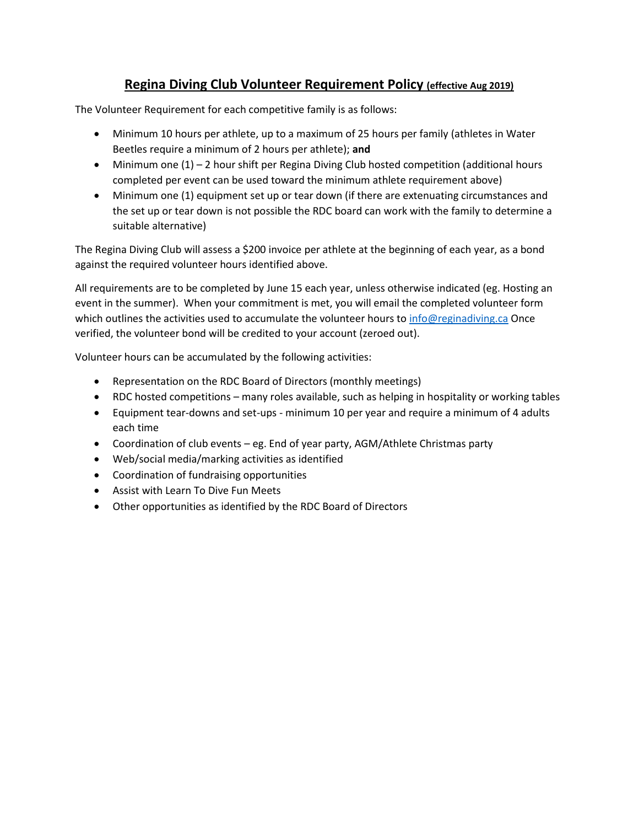## **Regina Diving Club Volunteer Requirement Policy (effective Aug 2019)**

The Volunteer Requirement for each competitive family is as follows:

- Minimum 10 hours per athlete, up to a maximum of 25 hours per family (athletes in Water Beetles require a minimum of 2 hours per athlete); **and**
- Minimum one (1) 2 hour shift per Regina Diving Club hosted competition (additional hours completed per event can be used toward the minimum athlete requirement above)
- Minimum one (1) equipment set up or tear down (if there are extenuating circumstances and the set up or tear down is not possible the RDC board can work with the family to determine a suitable alternative)

The Regina Diving Club will assess a \$200 invoice per athlete at the beginning of each year, as a bond against the required volunteer hours identified above.

All requirements are to be completed by June 15 each year, unless otherwise indicated (eg. Hosting an event in the summer). When your commitment is met, you will email the completed volunteer form which outlines the activities used to accumulate the volunteer hours to [info@reginadiving.ca](mailto:info@reginadiving.ca) Once verified, the volunteer bond will be credited to your account (zeroed out).

Volunteer hours can be accumulated by the following activities:

- Representation on the RDC Board of Directors (monthly meetings)
- RDC hosted competitions many roles available, such as helping in hospitality or working tables
- Equipment tear-downs and set-ups minimum 10 per year and require a minimum of 4 adults each time
- Coordination of club events eg. End of year party, AGM/Athlete Christmas party
- Web/social media/marking activities as identified
- Coordination of fundraising opportunities
- Assist with Learn To Dive Fun Meets
- Other opportunities as identified by the RDC Board of Directors